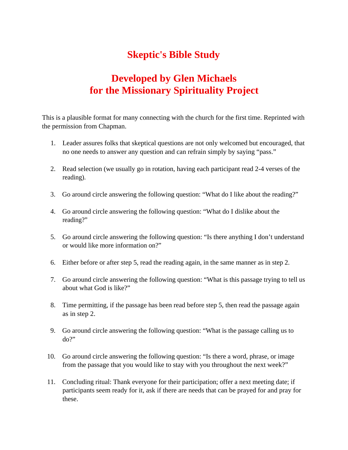## **Skeptic's Bible Study**

## **Developed by Glen Michaels for the Missionary Spirituality Project**

This is a plausible format for many connecting with the church for the first time. Reprinted with the permission from Chapman.

- 1. Leader assures folks that skeptical questions are not only welcomed but encouraged, that no one needs to answer any question and can refrain simply by saying "pass."
- 2. Read selection (we usually go in rotation, having each participant read 2-4 verses of the reading).
- 3. Go around circle answering the following question: "What do I like about the reading?"
- 4. Go around circle answering the following question: "What do I dislike about the reading?"
- 5. Go around circle answering the following question: "Is there anything I don't understand or would like more information on?"
- 6. Either before or after step 5, read the reading again, in the same manner as in step 2.
- 7. Go around circle answering the following question: "What is this passage trying to tell us about what God is like?"
- 8. Time permitting, if the passage has been read before step 5, then read the passage again as in step 2.
- 9. Go around circle answering the following question: "What is the passage calling us to  $do?$
- 10. Go around circle answering the following question: "Is there a word, phrase, or image from the passage that you would like to stay with you throughout the next week?"
- 11. Concluding ritual: Thank everyone for their participation; offer a next meeting date; if participants seem ready for it, ask if there are needs that can be prayed for and pray for these.